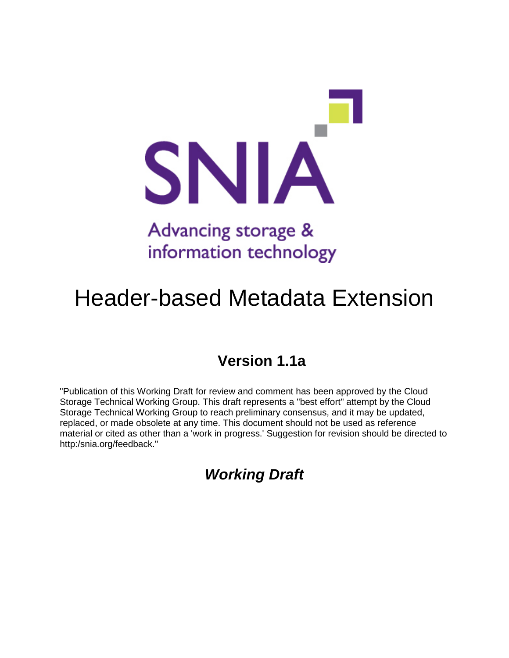

## Advancing storage & information technology

# Header-based Metadata Extension

## **Version 1.1a**

"Publication of this Working Draft for review and comment has been approved by the Cloud Storage Technical Working Group. This draft represents a "best effort" attempt by the Cloud Storage Technical Working Group to reach preliminary consensus, and it may be updated, replaced, or made obsolete at any time. This document should not be used as reference material or cited as other than a 'work in progress.' Suggestion for revision should be directed to http:/snia.org/feedback."

*Working Draft*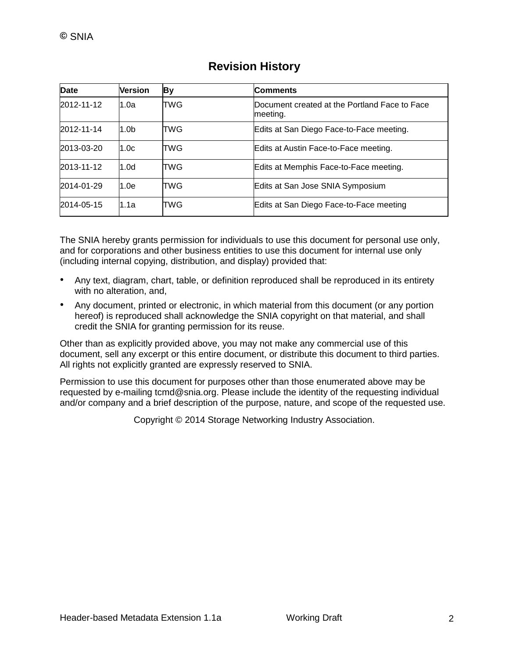| Date       | <b>Version</b>   | By  | <b>Comments</b>                                           |
|------------|------------------|-----|-----------------------------------------------------------|
| 2012-11-12 | 1.0a             | TWG | Document created at the Portland Face to Face<br>meeting. |
| 2012-11-14 | 1.0 <sub>b</sub> | TWG | Edits at San Diego Face-to-Face meeting.                  |
| 2013-03-20 | 1.0c             | TWG | Edits at Austin Face-to-Face meeting.                     |
| 2013-11-12 | 1.0 <sub>d</sub> | TWG | Edits at Memphis Face-to-Face meeting.                    |
| 2014-01-29 | 1.0e             | TWG | Edits at San Jose SNIA Symposium                          |
| 2014-05-15 | 1.1a             | TWG | Edits at San Diego Face-to-Face meeting                   |

### **Revision History**

The SNIA hereby grants permission for individuals to use this document for personal use only, and for corporations and other business entities to use this document for internal use only (including internal copying, distribution, and display) provided that:

- Any text, diagram, chart, table, or definition reproduced shall be reproduced in its entirety with no alteration, and,
- Any document, printed or electronic, in which material from this document (or any portion hereof) is reproduced shall acknowledge the SNIA copyright on that material, and shall credit the SNIA for granting permission for its reuse.

Other than as explicitly provided above, you may not make any commercial use of this document, sell any excerpt or this entire document, or distribute this document to third parties. All rights not explicitly granted are expressly reserved to SNIA.

Permission to use this document for purposes other than those enumerated above may be requested by e-mailing tcmd@snia.org. Please include the identity of the requesting individual and/or company and a brief description of the purpose, nature, and scope of the requested use.

Copyright © 2014 Storage Networking Industry Association.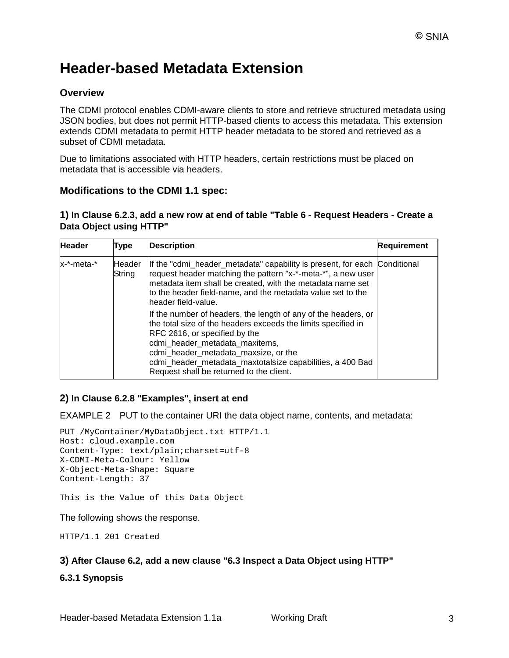## **Header-based Metadata Extension**

#### **Overview**

The CDMI protocol enables CDMI-aware clients to store and retrieve structured metadata using JSON bodies, but does not permit HTTP-based clients to access this metadata. This extension extends CDMI metadata to permit HTTP header metadata to be stored and retrieved as a subset of CDMI metadata.

Due to limitations associated with HTTP headers, certain restrictions must be placed on metadata that is accessible via headers.

#### **Modifications to the CDMI 1.1 spec:**

#### **1) In Clause 6.2.3, add a new row at end of table "Table 6 - Request Headers - Create a Data Object using HTTP"**

| <b>Header</b> | Type             | <b>Description</b>                                                                                                                                                                                                                                                                                                                                  | <b>Requirement</b> |
|---------------|------------------|-----------------------------------------------------------------------------------------------------------------------------------------------------------------------------------------------------------------------------------------------------------------------------------------------------------------------------------------------------|--------------------|
| k-*-meta-*    | Header<br>String | If the "cdmi_header_metadata" capability is present, for each Conditional<br>request header matching the pattern "x-*-meta-*", a new user<br>metadata item shall be created, with the metadata name set<br>to the header field-name, and the metadata value set to the<br>header field-value.                                                       |                    |
|               |                  | If the number of headers, the length of any of the headers, or<br>the total size of the headers exceeds the limits specified in<br>RFC 2616, or specified by the<br>cdmi_header_metadata_maxitems,<br>cdmi_header_metadata_maxsize, or the<br>cdmi_header_metadata_maxtotalsize capabilities, a 400 Bad<br>Request shall be returned to the client. |                    |

#### **2) In Clause 6.2.8 "Examples", insert at end**

EXAMPLE 2 PUT to the container URI the data object name, contents, and metadata:

```
PUT /MyContainer/MyDataObject.txt HTTP/1.1
Host: cloud.example.com 
Content-Type: text/plain;charset=utf-8
X-CDMI-Meta-Colour: Yellow
X-Object-Meta-Shape: Square
Content-Length: 37
```
This is the Value of this Data Object

The following shows the response.

HTTP/1.1 201 Created

#### **3) After Clause 6.2, add a new clause "6.3 Inspect a Data Object using HTTP"**

**6.3.1 Synopsis**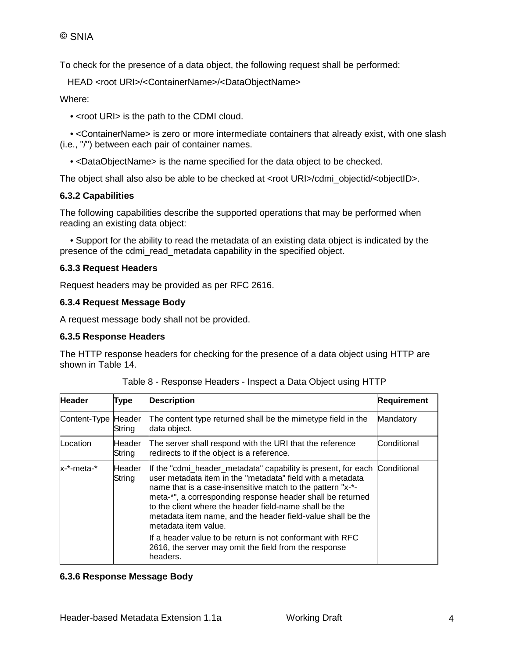To check for the presence of a data object, the following request shall be performed:

HEAD <root URI>/<ContainerName>/<DataObjectName>

Where:

• <root URI> is the path to the CDMI cloud.

 • <ContainerName> is zero or more intermediate containers that already exist, with one slash (i.e., "/") between each pair of container names.

• <DataObjectName> is the name specified for the data object to be checked.

The object shall also also be able to be checked at <root URI>/cdmi\_objectid/<objectID>.

#### **6.3.2 Capabilities**

The following capabilities describe the supported operations that may be performed when reading an existing data object:

 • Support for the ability to read the metadata of an existing data object is indicated by the presence of the cdmi\_read\_metadata capability in the specified object.

#### **6.3.3 Request Headers**

Request headers may be provided as per RFC 2616.

#### **6.3.4 Request Message Body**

A request message body shall not be provided.

#### **6.3.5 Response Headers**

The HTTP response headers for checking for the presence of a data object using HTTP are shown in Table 14.

| <b>Header</b>       | <b>Type</b>             | <b>Description</b>                                                                                                                                                                                                                                                                                                                                                                                                    | <b>Requirement</b> |
|---------------------|-------------------------|-----------------------------------------------------------------------------------------------------------------------------------------------------------------------------------------------------------------------------------------------------------------------------------------------------------------------------------------------------------------------------------------------------------------------|--------------------|
| Content-Type Header | String                  | The content type returned shall be the mimetype field in the<br>data object.                                                                                                                                                                                                                                                                                                                                          | Mandatory          |
| Location            | <b>Header</b><br>String | The server shall respond with the URI that the reference<br>redirects to if the object is a reference.                                                                                                                                                                                                                                                                                                                | Conditional        |
| x-*-meta-*          | Header<br>String        | If the "cdmi_header_metadata" capability is present, for each Conditional<br>luser metadata item in the "metadata" field with a metadata<br>name that is a case-insensitive match to the pattern "x-*-<br>meta-*", a corresponding response header shall be returned<br>to the client where the header field-name shall be the<br>metadata item name, and the header field-value shall be the<br>metadata item value. |                    |
|                     |                         | If a header value to be return is not conformant with RFC<br>2616, the server may omit the field from the response<br>lheaders.                                                                                                                                                                                                                                                                                       |                    |

| Table 8 - Response Headers - Inspect a Data Object using HTTP |  |  |
|---------------------------------------------------------------|--|--|
|---------------------------------------------------------------|--|--|

#### **6.3.6 Response Message Body**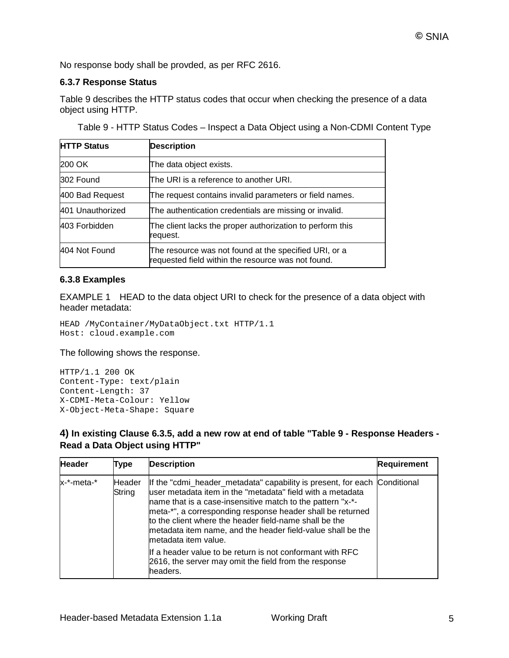No response body shall be provded, as per RFC 2616.

#### **6.3.7 Response Status**

Table 9 describes the HTTP status codes that occur when checking the presence of a data object using HTTP.

Table 9 - HTTP Status Codes – Inspect a Data Object using a Non-CDMI Content Type

| <b>HTTP Status</b> | <b>Description</b>                                                                                          |
|--------------------|-------------------------------------------------------------------------------------------------------------|
| 200 OK             | The data object exists.                                                                                     |
| 302 Found          | IThe URI is a reference to another URI.                                                                     |
| 400 Bad Request    | The request contains invalid parameters or field names.                                                     |
| 401 Unauthorized   | The authentication credentials are missing or invalid.                                                      |
| 403 Forbidden      | The client lacks the proper authorization to perform this<br>request.                                       |
| 404 Not Found      | The resource was not found at the specified URI, or a<br>requested field within the resource was not found. |

#### **6.3.8 Examples**

EXAMPLE 1 HEAD to the data object URI to check for the presence of a data object with header metadata:

```
HEAD /MyContainer/MyDataObject.txt HTTP/1.1
Host: cloud.example.com
```
The following shows the response.

HTTP/1.1 200 OK Content-Type: text/plain Content-Length: 37 X-CDMI-Meta-Colour: Yellow X-Object-Meta-Shape: Square

**4) In existing Clause 6.3.5, add a new row at end of table "Table 9 - Response Headers - Read a Data Object using HTTP"**

| <b>Header</b> | Type             | <b>Description</b>                                                                                                                                                                                                                                                                                                                                                                                                    | <b>Requirement</b> |
|---------------|------------------|-----------------------------------------------------------------------------------------------------------------------------------------------------------------------------------------------------------------------------------------------------------------------------------------------------------------------------------------------------------------------------------------------------------------------|--------------------|
| x-*-meta-*    | Header<br>String | If the "cdmi_header_metadata" capability is present, for each Conditional<br>user metadata item in the "metadata" field with a metadata<br>hame that is a case-insensitive match to the pattern "x-*-<br>meta-*", a corresponding response header shall be returned<br>to the client where the header field-name shall be the<br>metadata item name, and the header field-value shall be the<br>Imetadata item value. |                    |
|               |                  | If a header value to be return is not conformant with RFC<br>2616, the server may omit the field from the response<br>headers.                                                                                                                                                                                                                                                                                        |                    |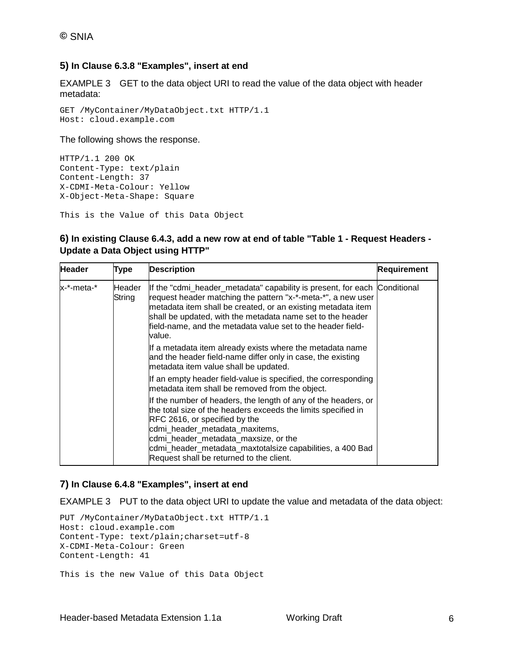#### **5) In Clause 6.3.8 "Examples", insert at end**

EXAMPLE 3 GET to the data object URI to read the value of the data object with header metadata:

GET /MyContainer/MyDataObject.txt HTTP/1.1 Host: cloud.example.com

The following shows the response.

```
HTTP/1.1 200 OK
Content-Type: text/plain 
Content-Length: 37
X-CDMI-Meta-Colour: Yellow
X-Object-Meta-Shape: Square
```
This is the Value of this Data Object

#### **6) In existing Clause 6.4.3, add a new row at end of table "Table 1 - Request Headers - Update a Data Object using HTTP"**

| <b>Header</b> | <b>Type</b>      | <b>Description</b>                                                                                                                                                                                                                                                                                                                                  | <b>Requirement</b> |
|---------------|------------------|-----------------------------------------------------------------------------------------------------------------------------------------------------------------------------------------------------------------------------------------------------------------------------------------------------------------------------------------------------|--------------------|
| x-*-meta-*    | Header<br>String | If the "cdmi_header_metadata" capability is present, for each Conditional<br>request header matching the pattern "x-*-meta-*", a new user<br>metadata item shall be created, or an existing metadata item<br>shall be updated, with the metadata name set to the header<br>field-name, and the metadata value set to the header field-<br>value.    |                    |
|               |                  | If a metadata item already exists where the metadata name<br>and the header field-name differ only in case, the existing<br>metadata item value shall be updated.                                                                                                                                                                                   |                    |
|               |                  | If an empty header field-value is specified, the corresponding<br>metadata item shall be removed from the object.                                                                                                                                                                                                                                   |                    |
|               |                  | If the number of headers, the length of any of the headers, or<br>the total size of the headers exceeds the limits specified in<br>RFC 2616, or specified by the<br>cdmi header metadata maxitems,<br>cdmi_header_metadata_maxsize, or the<br>cdmi_header_metadata_maxtotalsize capabilities, a 400 Bad<br>Request shall be returned to the client. |                    |

#### **7) In Clause 6.4.8 "Examples", insert at end**

EXAMPLE 3 PUT to the data object URI to update the value and metadata of the data object:

```
PUT /MyContainer/MyDataObject.txt HTTP/1.1
Host: cloud.example.com 
Content-Type: text/plain;charset=utf-8
X-CDMI-Meta-Colour: Green
Content-Length: 41
This is the new Value of this Data Object
```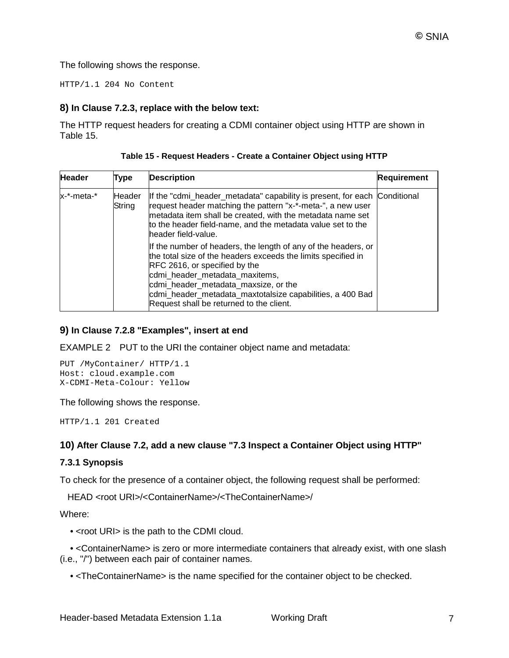The following shows the response.

HTTP/1.1 204 No Content

#### **8) In Clause 7.2.3, replace with the below text:**

The HTTP request headers for creating a CDMI container object using HTTP are shown in Table 15.

| <b>Header</b> | <b>Type</b>             | <b>Description</b>                                                                                                                                                                                                                                                                                                                                  | <b>Requirement</b> |
|---------------|-------------------------|-----------------------------------------------------------------------------------------------------------------------------------------------------------------------------------------------------------------------------------------------------------------------------------------------------------------------------------------------------|--------------------|
| x-*-meta-*    | <b>Header</b><br>String | If the "cdmi header metadata" capability is present, for each Conditional<br>request header matching the pattern "x-*-meta-", a new user<br>metadata item shall be created, with the metadata name set<br>to the header field-name, and the metadata value set to the<br>header field-value.                                                        |                    |
|               |                         | If the number of headers, the length of any of the headers, or<br>the total size of the headers exceeds the limits specified in<br>RFC 2616, or specified by the<br>cdmi header metadata maxitems,<br>cdmi header metadata maxsize, or the<br>cdmi_header_metadata_maxtotalsize capabilities, a 400 Bad<br>Request shall be returned to the client. |                    |

**Table 15 - Request Headers - Create a Container Object using HTTP**

#### **9) In Clause 7.2.8 "Examples", insert at end**

EXAMPLE 2 PUT to the URI the container object name and metadata:

```
PUT /MyContainer/ HTTP/1.1
Host: cloud.example.com 
X-CDMI-Meta-Colour: Yellow
```
The following shows the response.

HTTP/1.1 201 Created

#### **10) After Clause 7.2, add a new clause "7.3 Inspect a Container Object using HTTP"**

#### **7.3.1 Synopsis**

To check for the presence of a container object, the following request shall be performed:

HEAD <root URI>/<ContainerName>/<TheContainerName>/

Where:

• <root URI> is the path to the CDMI cloud.

 • <ContainerName> is zero or more intermediate containers that already exist, with one slash (i.e., "/") between each pair of container names.

• <TheContainerName> is the name specified for the container object to be checked.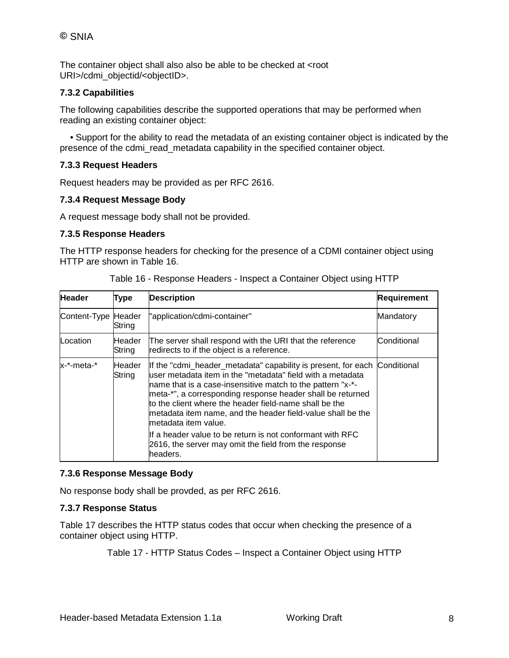The container object shall also also be able to be checked at <root URI>/cdmi\_objectid/<objectID>.

#### **7.3.2 Capabilities**

The following capabilities describe the supported operations that may be performed when reading an existing container object:

 • Support for the ability to read the metadata of an existing container object is indicated by the presence of the cdmi\_read\_metadata capability in the specified container object.

#### **7.3.3 Request Headers**

Request headers may be provided as per RFC 2616.

#### **7.3.4 Request Message Body**

A request message body shall not be provided.

#### **7.3.5 Response Headers**

The HTTP response headers for checking for the presence of a CDMI container object using HTTP are shown in Table 16.

| <b>Header</b>       | Type             | <b>Description</b>                                                                                                                                                                                                                                                                                                                                                                                                    | <b>Requirement</b> |
|---------------------|------------------|-----------------------------------------------------------------------------------------------------------------------------------------------------------------------------------------------------------------------------------------------------------------------------------------------------------------------------------------------------------------------------------------------------------------------|--------------------|
| Content-Type Header | String           | "application/cdmi-container"                                                                                                                                                                                                                                                                                                                                                                                          | Mandatory          |
| Location            | Header<br>String | The server shall respond with the URI that the reference<br>redirects to if the object is a reference.                                                                                                                                                                                                                                                                                                                | Conditional        |
| x-*-meta-*          | Header<br>String | If the "cdmi_header_metadata" capability is present, for each Conditional<br>luser metadata item in the "metadata" field with a metadata<br>name that is a case-insensitive match to the pattern "x-*-<br>meta-*", a corresponding response header shall be returned<br>to the client where the header field-name shall be the<br>metadata item name, and the header field-value shall be the<br>metadata item value. |                    |
|                     |                  | If a header value to be return is not conformant with RFC<br>2616, the server may omit the field from the response<br>headers.                                                                                                                                                                                                                                                                                        |                    |

Table 16 - Response Headers - Inspect a Container Object using HTTP

#### **7.3.6 Response Message Body**

No response body shall be provded, as per RFC 2616.

#### **7.3.7 Response Status**

Table 17 describes the HTTP status codes that occur when checking the presence of a container object using HTTP.

Table 17 - HTTP Status Codes – Inspect a Container Object using HTTP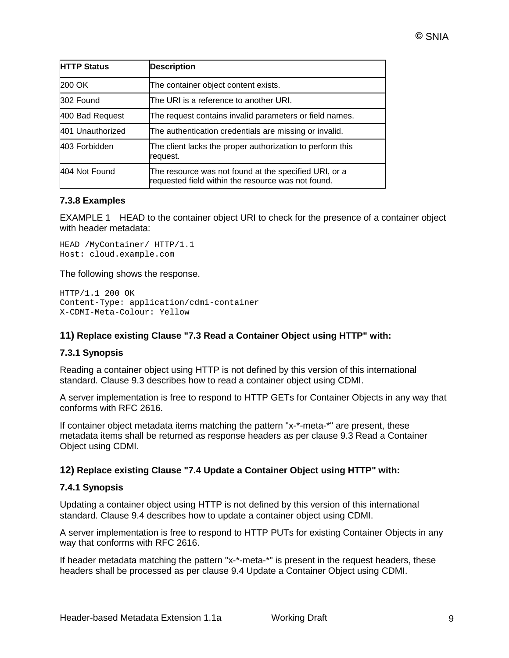| <b>HTTP Status</b> | <b>Description</b>                                                                                          |
|--------------------|-------------------------------------------------------------------------------------------------------------|
| 200 OK             | The container object content exists.                                                                        |
| 302 Found          | The URI is a reference to another URI.                                                                      |
| 400 Bad Request    | The request contains invalid parameters or field names.                                                     |
| 401 Unauthorized   | The authentication credentials are missing or invalid.                                                      |
| 403 Forbidden      | The client lacks the proper authorization to perform this<br>request.                                       |
| 404 Not Found      | The resource was not found at the specified URI, or a<br>requested field within the resource was not found. |

#### **7.3.8 Examples**

EXAMPLE 1 HEAD to the container object URI to check for the presence of a container object with header metadata:

HEAD /MyContainer/ HTTP/1.1 Host: cloud.example.com

The following shows the response.

```
HTTP/1.1 200 OK
Content-Type: application/cdmi-container 
X-CDMI-Meta-Colour: Yellow
```
#### **11) Replace existing Clause "7.3 Read a Container Object using HTTP" with:**

#### **7.3.1 Synopsis**

Reading a container object using HTTP is not defined by this version of this international standard. Clause 9.3 describes how to read a container object using CDMI.

A server implementation is free to respond to HTTP GETs for Container Objects in any way that conforms with RFC 2616.

If container object metadata items matching the pattern "x-\*-meta-\*" are present, these metadata items shall be returned as response headers as per clause 9.3 Read a Container Object using CDMI.

#### **12) Replace existing Clause "7.4 Update a Container Object using HTTP" with:**

#### **7.4.1 Synopsis**

Updating a container object using HTTP is not defined by this version of this international standard. Clause 9.4 describes how to update a container object using CDMI.

A server implementation is free to respond to HTTP PUTs for existing Container Objects in any way that conforms with RFC 2616.

If header metadata matching the pattern "x-\*-meta-\*" is present in the request headers, these headers shall be processed as per clause 9.4 Update a Container Object using CDMI.